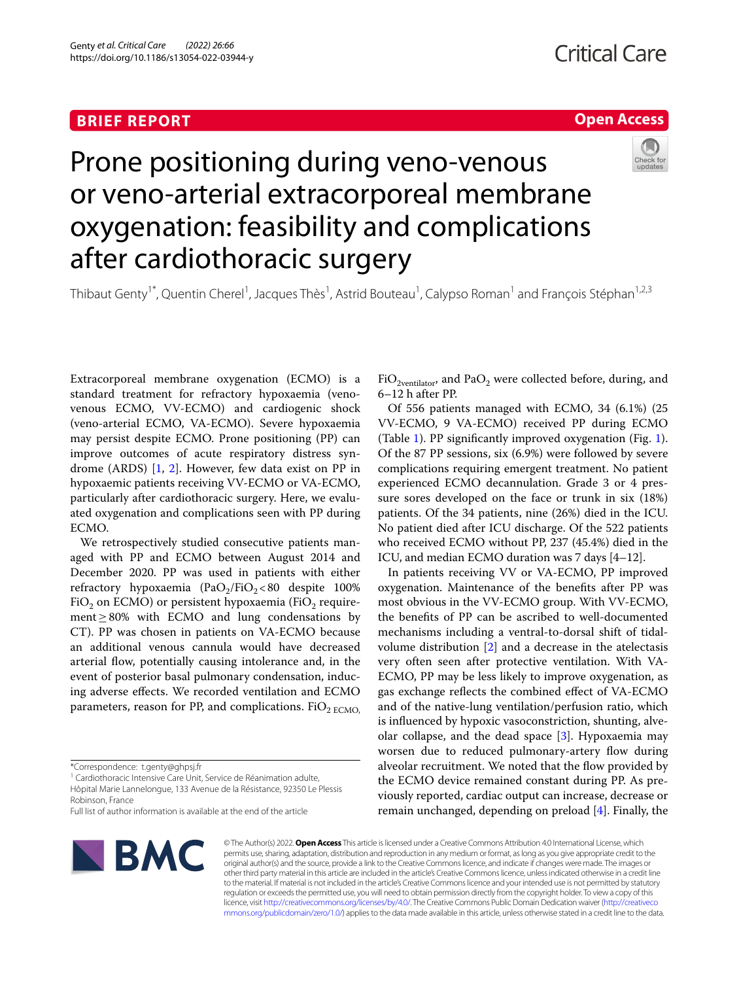### **BRIEF REPORT**

## **Open Access**



# Prone positioning during veno-venous or veno-arterial extracorporeal membrane oxygenation: feasibility and complications after cardiothoracic surgery

Thibaut Genty<sup>1\*</sup>, Quentin Cherel<sup>1</sup>, Jacques Thès<sup>1</sup>, Astrid Bouteau<sup>1</sup>, Calypso Roman<sup>1</sup> and François Stéphan<sup>1,2,3</sup>

Extracorporeal membrane oxygenation (ECMO) is a standard treatment for refractory hypoxaemia (venovenous ECMO, VV-ECMO) and cardiogenic shock (veno-arterial ECMO, VA-ECMO). Severe hypoxaemia may persist despite ECMO. Prone positioning (PP) can improve outcomes of acute respiratory distress syndrome (ARDS) [[1](#page-4-0), [2](#page-4-1)]. However, few data exist on PP in hypoxaemic patients receiving VV-ECMO or VA-ECMO, particularly after cardiothoracic surgery. Here, we evaluated oxygenation and complications seen with PP during ECMO.

We retrospectively studied consecutive patients managed with PP and ECMO between August 2014 and December 2020. PP was used in patients with either refractory hypoxaemia (PaO<sub>2</sub>/FiO<sub>2</sub> < 80 despite 100% FiO<sub>2</sub> on ECMO) or persistent hypoxaemia (FiO<sub>2</sub> requirement≥80% with ECMO and lung condensations by CT). PP was chosen in patients on VA-ECMO because an additional venous cannula would have decreased arterial fow, potentially causing intolerance and, in the event of posterior basal pulmonary condensation, inducing adverse efects. We recorded ventilation and ECMO parameters, reason for PP, and complications.  $FiO<sub>2 ECMO</sub>$ 

<sup>1</sup> Cardiothoracic Intensive Care Unit, Service de Réanimation adulte, Hôpital Marie Lannelongue, 133 Avenue de la Résistance, 92350 Le Plessis Robinson, France

Full list of author information is available at the end of the article



 $FiO<sub>2ventilator</sub>$ , and Pa $O<sub>2</sub>$  were collected before, during, and 6–12 h after PP.

Of 556 patients managed with ECMO, 34 (6.1%) (25 VV-ECMO, 9 VA-ECMO) received PP during ECMO (Table [1](#page-1-0)). PP signifcantly improved oxygenation (Fig. [1](#page-3-0)). Of the 87 PP sessions, six (6.9%) were followed by severe complications requiring emergent treatment. No patient experienced ECMO decannulation. Grade 3 or 4 pressure sores developed on the face or trunk in six (18%) patients. Of the 34 patients, nine (26%) died in the ICU. No patient died after ICU discharge. Of the 522 patients who received ECMO without PP, 237 (45.4%) died in the ICU, and median ECMO duration was 7 days [4–12].

In patients receiving VV or VA-ECMO, PP improved oxygenation. Maintenance of the benefts after PP was most obvious in the VV-ECMO group. With VV-ECMO, the benefts of PP can be ascribed to well-documented mechanisms including a ventral-to-dorsal shift of tidalvolume distribution [\[2\]](#page-4-1) and a decrease in the atelectasis very often seen after protective ventilation. With VA-ECMO, PP may be less likely to improve oxygenation, as gas exchange refects the combined efect of VA-ECMO and of the native-lung ventilation/perfusion ratio, which is infuenced by hypoxic vasoconstriction, shunting, alveolar collapse, and the dead space [\[3\]](#page-4-2). Hypoxaemia may worsen due to reduced pulmonary-artery flow during alveolar recruitment. We noted that the flow provided by the ECMO device remained constant during PP. As previously reported, cardiac output can increase, decrease or remain unchanged, depending on preload [\[4](#page-4-3)]. Finally, the

© The Author(s) 2022. **Open Access** This article is licensed under a Creative Commons Attribution 4.0 International License, which permits use, sharing, adaptation, distribution and reproduction in any medium or format, as long as you give appropriate credit to the original author(s) and the source, provide a link to the Creative Commons licence, and indicate if changes were made. The images or other third party material in this article are included in the article's Creative Commons licence, unless indicated otherwise in a credit line to the material. If material is not included in the article's Creative Commons licence and your intended use is not permitted by statutory regulation or exceeds the permitted use, you will need to obtain permission directly from the copyright holder. To view a copy of this licence, visit [http://creativecommons.org/licenses/by/4.0/.](http://creativecommons.org/licenses/by/4.0/) The Creative Commons Public Domain Dedication waiver ([http://creativeco](http://creativecommons.org/publicdomain/zero/1.0/) [mmons.org/publicdomain/zero/1.0/](http://creativecommons.org/publicdomain/zero/1.0/)) applies to the data made available in this article, unless otherwise stated in a credit line to the data.

<sup>\*</sup>Correspondence: t.genty@ghpsj.fr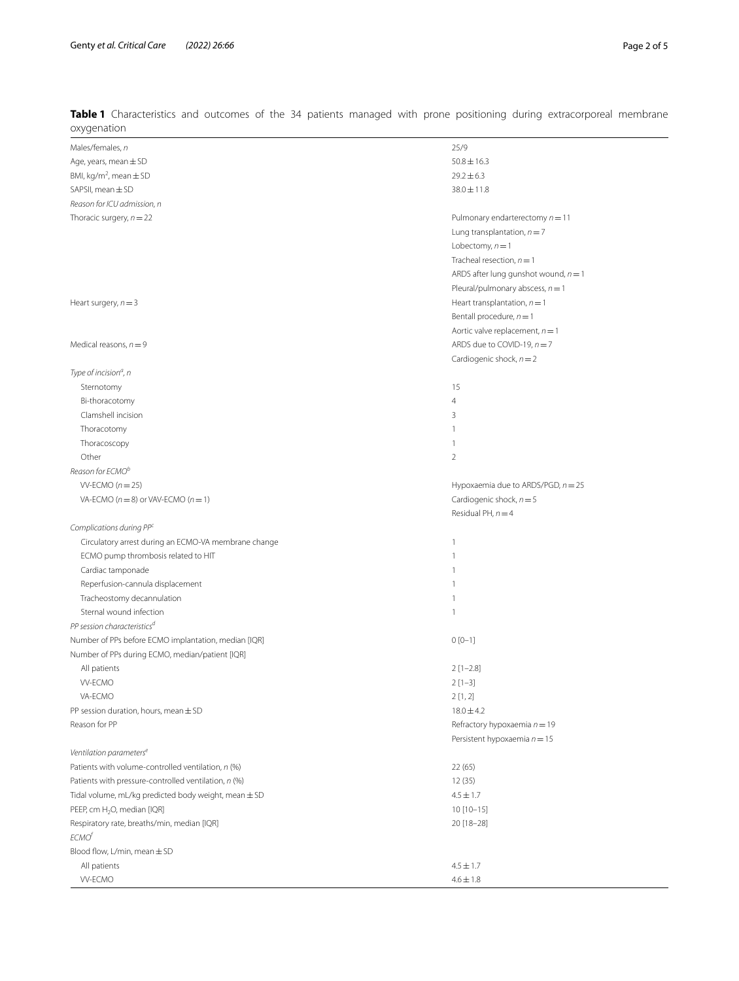| oxygenation                                                                                                |                                        |
|------------------------------------------------------------------------------------------------------------|----------------------------------------|
| Males/females, n                                                                                           | 25/9                                   |
| Age, years, mean $\pm$ SD                                                                                  | $50.8 \pm 16.3$                        |
| BMI, kg/m <sup>2</sup> , mean $\pm$ SD                                                                     | $29.2 \pm 6.3$                         |
| SAPSII, mean ± SD                                                                                          | $38.0 \pm 11.8$                        |
| Reason for ICU admission, n                                                                                |                                        |
| Thoracic surgery, $n = 22$                                                                                 | Pulmonary endarterectomy $n = 11$      |
|                                                                                                            | Lung transplantation, $n = 7$          |
|                                                                                                            | Lobectomy, $n = 1$                     |
|                                                                                                            | Tracheal resection, $n = 1$            |
|                                                                                                            | ARDS after lung gunshot wound, $n = 1$ |
|                                                                                                            | Pleural/pulmonary abscess, $n = 1$     |
| Heart surgery, $n = 3$                                                                                     | Heart transplantation, $n = 1$         |
|                                                                                                            | Bentall procedure, $n = 1$             |
|                                                                                                            | Aortic valve replacement, $n = 1$      |
| Medical reasons, $n = 9$                                                                                   | ARDS due to COVID-19, $n = 7$          |
|                                                                                                            | Cardiogenic shock, $n = 2$             |
| Type of incision <sup>a</sup> , n                                                                          |                                        |
| Sternotomy                                                                                                 | 15                                     |
| Bi-thoracotomy                                                                                             | $\overline{4}$                         |
| Clamshell incision                                                                                         | 3                                      |
| Thoracotomy                                                                                                | $\mathbf{1}$                           |
| Thoracoscopy                                                                                               | $\mathbf{1}$                           |
| Other                                                                                                      | $\overline{2}$                         |
| Reason for ECMO <sup>b</sup>                                                                               |                                        |
| $W-ECMO (n=25)$                                                                                            | Hypoxaemia due to ARDS/PGD, $n = 25$   |
| VA-ECMO ( $n = 8$ ) or VAV-ECMO ( $n = 1$ )                                                                | Cardiogenic shock, $n = 5$             |
|                                                                                                            | Residual PH, $n = 4$                   |
| Complications during PPC                                                                                   |                                        |
| Circulatory arrest during an ECMO-VA membrane change                                                       | $\mathbf{1}$                           |
| ECMO pump thrombosis related to HIT                                                                        | $\mathbf{1}$                           |
| Cardiac tamponade                                                                                          | $\mathbf{1}$                           |
| Reperfusion-cannula displacement                                                                           | $\mathbf{1}$                           |
| Tracheostomy decannulation                                                                                 | $\mathbf{1}$                           |
| Sternal wound infection                                                                                    | $\mathbf{1}$                           |
| PP session characteristics <sup>d</sup>                                                                    |                                        |
| Number of PPs before ECMO implantation, median [IQR]                                                       | $0[0-1]$                               |
| Number of PPs during ECMO, median/patient [IQR]                                                            |                                        |
| All patients                                                                                               | $2 [1 - 2.8]$                          |
| <b>W-ECMO</b>                                                                                              |                                        |
| VA-ECMO                                                                                                    | $2[1-3]$<br>2[1,2]                     |
| PP session duration, hours, mean $\pm$ SD                                                                  | $18.0 \pm 4.2$                         |
| Reason for PP                                                                                              | Refractory hypoxaemia $n = 19$         |
|                                                                                                            | Persistent hypoxaemia $n = 15$         |
| Ventilation parameters <sup>e</sup>                                                                        |                                        |
|                                                                                                            |                                        |
| Patients with volume-controlled ventilation, n (%)<br>Patients with pressure-controlled ventilation, n (%) | 22(65)                                 |
| Tidal volume, mL/kg predicted body weight, mean $\pm$ SD                                                   | 12 (35)                                |
|                                                                                                            | $4.5 \pm 1.7$                          |
| PEEP, cm H <sub>2</sub> O, median [IQR]                                                                    | 10 [10-15]                             |
| Respiratory rate, breaths/min, median [IQR]<br>ECMO <sup>f</sup>                                           | 20 [18-28]                             |
|                                                                                                            |                                        |
| Blood flow, L/min, mean ± SD                                                                               |                                        |
| All patients                                                                                               | $4.5 \pm 1.7$                          |
| <b>W-ECMO</b>                                                                                              | $4.6 \pm 1.8$                          |

<span id="page-1-0"></span>**Table 1** Characteristics and outcomes of the 34 patients managed with prone positioning during extracorporeal membrane oxygenation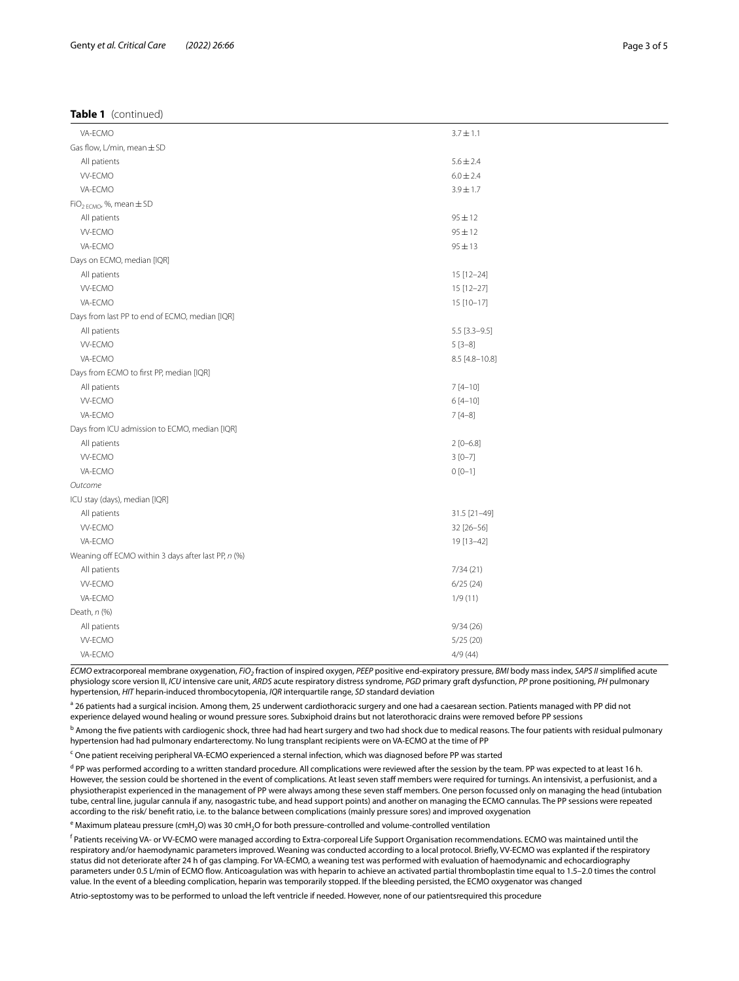#### **Table 1** (continued)

| VA-ECMO<br>$3.7 \pm 1.1$<br>Gas flow, L/min, mean ± SD<br>All patients<br>$5.6 \pm 2.4$<br><b>W-ECMO</b><br>$6.0 \pm 2.4$<br>VA-ECMO<br>$3.9 \pm 1.7$<br>$FiO_{2ECMO'}$ , %, mean $\pm SD$<br>$95 \pm 12$<br>All patients<br><b>W-ECMO</b><br>$95 \pm 12$<br>VA-ECMO<br>$95 \pm 13$<br>Days on ECMO, median [IQR]<br>All patients<br>15 [12-24]<br><b>W-ECMO</b><br>15 [12-27]<br>VA-ECMO<br>15 [10-17]<br>Days from last PP to end of ECMO, median [IQR]<br>All patients<br>$5.5$ [3.3-9.5]<br><b>W-ECMO</b><br>$5[3-8]$<br>VA-ECMO<br>8.5 [4.8-10.8]<br>Days from ECMO to first PP, median [IQR]<br>$7[4 - 10]$<br>All patients<br><b>W-ECMO</b><br>$6[4-10]$<br>VA-ECMO<br>$7[4-8]$<br>Days from ICU admission to ECMO, median [IQR]<br>All patients<br>$2[0 - 6.8]$<br><b>W-ECMO</b><br>$3[0-7]$<br>VA-ECMO<br>$0 [0 - 1]$<br>Outcome<br>ICU stay (days), median [IQR]<br>All patients<br>31.5 [21-49]<br><b>W-ECMO</b><br>32 [26-56]<br>VA-ECMO<br>19 [13-42]<br>Weaning off ECMO within 3 days after last PP, n (%)<br>7/34(21)<br>All patients<br><b>W-ECMO</b><br>6/25(24)<br>VA-ECMO<br>1/9(11)<br>Death, n (%)<br>All patients<br>9/34(26)<br><b>W-ECMO</b><br>5/25(20)<br>VA-ECMO<br>4/9(44) |  |
|---------------------------------------------------------------------------------------------------------------------------------------------------------------------------------------------------------------------------------------------------------------------------------------------------------------------------------------------------------------------------------------------------------------------------------------------------------------------------------------------------------------------------------------------------------------------------------------------------------------------------------------------------------------------------------------------------------------------------------------------------------------------------------------------------------------------------------------------------------------------------------------------------------------------------------------------------------------------------------------------------------------------------------------------------------------------------------------------------------------------------------------------------------------------------------------------------------|--|
|                                                                                                                                                                                                                                                                                                                                                                                                                                                                                                                                                                                                                                                                                                                                                                                                                                                                                                                                                                                                                                                                                                                                                                                                         |  |
|                                                                                                                                                                                                                                                                                                                                                                                                                                                                                                                                                                                                                                                                                                                                                                                                                                                                                                                                                                                                                                                                                                                                                                                                         |  |
|                                                                                                                                                                                                                                                                                                                                                                                                                                                                                                                                                                                                                                                                                                                                                                                                                                                                                                                                                                                                                                                                                                                                                                                                         |  |
|                                                                                                                                                                                                                                                                                                                                                                                                                                                                                                                                                                                                                                                                                                                                                                                                                                                                                                                                                                                                                                                                                                                                                                                                         |  |
|                                                                                                                                                                                                                                                                                                                                                                                                                                                                                                                                                                                                                                                                                                                                                                                                                                                                                                                                                                                                                                                                                                                                                                                                         |  |
|                                                                                                                                                                                                                                                                                                                                                                                                                                                                                                                                                                                                                                                                                                                                                                                                                                                                                                                                                                                                                                                                                                                                                                                                         |  |
|                                                                                                                                                                                                                                                                                                                                                                                                                                                                                                                                                                                                                                                                                                                                                                                                                                                                                                                                                                                                                                                                                                                                                                                                         |  |
|                                                                                                                                                                                                                                                                                                                                                                                                                                                                                                                                                                                                                                                                                                                                                                                                                                                                                                                                                                                                                                                                                                                                                                                                         |  |
|                                                                                                                                                                                                                                                                                                                                                                                                                                                                                                                                                                                                                                                                                                                                                                                                                                                                                                                                                                                                                                                                                                                                                                                                         |  |
|                                                                                                                                                                                                                                                                                                                                                                                                                                                                                                                                                                                                                                                                                                                                                                                                                                                                                                                                                                                                                                                                                                                                                                                                         |  |
|                                                                                                                                                                                                                                                                                                                                                                                                                                                                                                                                                                                                                                                                                                                                                                                                                                                                                                                                                                                                                                                                                                                                                                                                         |  |
|                                                                                                                                                                                                                                                                                                                                                                                                                                                                                                                                                                                                                                                                                                                                                                                                                                                                                                                                                                                                                                                                                                                                                                                                         |  |
|                                                                                                                                                                                                                                                                                                                                                                                                                                                                                                                                                                                                                                                                                                                                                                                                                                                                                                                                                                                                                                                                                                                                                                                                         |  |
|                                                                                                                                                                                                                                                                                                                                                                                                                                                                                                                                                                                                                                                                                                                                                                                                                                                                                                                                                                                                                                                                                                                                                                                                         |  |
|                                                                                                                                                                                                                                                                                                                                                                                                                                                                                                                                                                                                                                                                                                                                                                                                                                                                                                                                                                                                                                                                                                                                                                                                         |  |
|                                                                                                                                                                                                                                                                                                                                                                                                                                                                                                                                                                                                                                                                                                                                                                                                                                                                                                                                                                                                                                                                                                                                                                                                         |  |
|                                                                                                                                                                                                                                                                                                                                                                                                                                                                                                                                                                                                                                                                                                                                                                                                                                                                                                                                                                                                                                                                                                                                                                                                         |  |
|                                                                                                                                                                                                                                                                                                                                                                                                                                                                                                                                                                                                                                                                                                                                                                                                                                                                                                                                                                                                                                                                                                                                                                                                         |  |
|                                                                                                                                                                                                                                                                                                                                                                                                                                                                                                                                                                                                                                                                                                                                                                                                                                                                                                                                                                                                                                                                                                                                                                                                         |  |
|                                                                                                                                                                                                                                                                                                                                                                                                                                                                                                                                                                                                                                                                                                                                                                                                                                                                                                                                                                                                                                                                                                                                                                                                         |  |
|                                                                                                                                                                                                                                                                                                                                                                                                                                                                                                                                                                                                                                                                                                                                                                                                                                                                                                                                                                                                                                                                                                                                                                                                         |  |
|                                                                                                                                                                                                                                                                                                                                                                                                                                                                                                                                                                                                                                                                                                                                                                                                                                                                                                                                                                                                                                                                                                                                                                                                         |  |
|                                                                                                                                                                                                                                                                                                                                                                                                                                                                                                                                                                                                                                                                                                                                                                                                                                                                                                                                                                                                                                                                                                                                                                                                         |  |
|                                                                                                                                                                                                                                                                                                                                                                                                                                                                                                                                                                                                                                                                                                                                                                                                                                                                                                                                                                                                                                                                                                                                                                                                         |  |
|                                                                                                                                                                                                                                                                                                                                                                                                                                                                                                                                                                                                                                                                                                                                                                                                                                                                                                                                                                                                                                                                                                                                                                                                         |  |
|                                                                                                                                                                                                                                                                                                                                                                                                                                                                                                                                                                                                                                                                                                                                                                                                                                                                                                                                                                                                                                                                                                                                                                                                         |  |
|                                                                                                                                                                                                                                                                                                                                                                                                                                                                                                                                                                                                                                                                                                                                                                                                                                                                                                                                                                                                                                                                                                                                                                                                         |  |
|                                                                                                                                                                                                                                                                                                                                                                                                                                                                                                                                                                                                                                                                                                                                                                                                                                                                                                                                                                                                                                                                                                                                                                                                         |  |
|                                                                                                                                                                                                                                                                                                                                                                                                                                                                                                                                                                                                                                                                                                                                                                                                                                                                                                                                                                                                                                                                                                                                                                                                         |  |
|                                                                                                                                                                                                                                                                                                                                                                                                                                                                                                                                                                                                                                                                                                                                                                                                                                                                                                                                                                                                                                                                                                                                                                                                         |  |
|                                                                                                                                                                                                                                                                                                                                                                                                                                                                                                                                                                                                                                                                                                                                                                                                                                                                                                                                                                                                                                                                                                                                                                                                         |  |
|                                                                                                                                                                                                                                                                                                                                                                                                                                                                                                                                                                                                                                                                                                                                                                                                                                                                                                                                                                                                                                                                                                                                                                                                         |  |
|                                                                                                                                                                                                                                                                                                                                                                                                                                                                                                                                                                                                                                                                                                                                                                                                                                                                                                                                                                                                                                                                                                                                                                                                         |  |
|                                                                                                                                                                                                                                                                                                                                                                                                                                                                                                                                                                                                                                                                                                                                                                                                                                                                                                                                                                                                                                                                                                                                                                                                         |  |
|                                                                                                                                                                                                                                                                                                                                                                                                                                                                                                                                                                                                                                                                                                                                                                                                                                                                                                                                                                                                                                                                                                                                                                                                         |  |
|                                                                                                                                                                                                                                                                                                                                                                                                                                                                                                                                                                                                                                                                                                                                                                                                                                                                                                                                                                                                                                                                                                                                                                                                         |  |
|                                                                                                                                                                                                                                                                                                                                                                                                                                                                                                                                                                                                                                                                                                                                                                                                                                                                                                                                                                                                                                                                                                                                                                                                         |  |
|                                                                                                                                                                                                                                                                                                                                                                                                                                                                                                                                                                                                                                                                                                                                                                                                                                                                                                                                                                                                                                                                                                                                                                                                         |  |

*ECMO* extracorporeal membrane oxygenation, *FiO2* fraction of inspired oxygen, *PEEP* positive end-expiratory pressure, *BMI* body mass index, *SAPS II* simplifed acute physiology score version II, *ICU* intensive care unit, *ARDS* acute respiratory distress syndrome, *PGD* primary graft dysfunction, *PP* prone positioning, *PH* pulmonary hypertension, *HIT* heparin-induced thrombocytopenia, *IQR* interquartile range, *SD* standard deviation

<sup>a</sup> 26 patients had a surgical incision. Among them, 25 underwent cardiothoracic surgery and one had a caesarean section. Patients managed with PP did not experience delayed wound healing or wound pressure sores. Subxiphoid drains but not laterothoracic drains were removed before PP sessions

<sup>b</sup> Among the five patients with cardiogenic shock, three had had heart surgery and two had shock due to medical reasons. The four patients with residual pulmonary hypertension had had pulmonary endarterectomy. No lung transplant recipients were on VA-ECMO at the time of PP

<sup>c</sup> One patient receiving peripheral VA-ECMO experienced a sternal infection, which was diagnosed before PP was started

<sup>d</sup> PP was performed according to a written standard procedure. All complications were reviewed after the session by the team. PP was expected to at least 16 h. However, the session could be shortened in the event of complications. At least seven staff members were required for turnings. An intensivist, a perfusionist, and a physiotherapist experienced in the management of PP were always among these seven staf members. One person focussed only on managing the head (intubation tube, central line, jugular cannula if any, nasogastric tube, and head support points) and another on managing the ECMO cannulas. The PP sessions were repeated according to the risk/ beneft ratio, i.e. to the balance between complications (mainly pressure sores) and improved oxygenation

 $^{\rm e}$  Maximum plateau pressure (cmH<sub>2</sub>O) was 30 cmH<sub>2</sub>O for both pressure-controlled and volume-controlled ventilation

<sup>f</sup> Patients receiving VA- or VV-ECMO were managed according to Extra-corporeal Life Support Organisation recommendations. ECMO was maintained until the respiratory and/or haemodynamic parameters improved. Weaning was conducted according to a local protocol. Briefy, VV-ECMO was explanted if the respiratory status did not deteriorate after 24 h of gas clamping. For VA-ECMO, a weaning test was performed with evaluation of haemodynamic and echocardiography parameters under 0.5 L/min of ECMO fow. Anticoagulation was with heparin to achieve an activated partial thromboplastin time equal to 1.5–2.0 times the control value. In the event of a bleeding complication, heparin was temporarily stopped. If the bleeding persisted, the ECMO oxygenator was changed

Atrio-septostomy was to be performed to unload the left ventricle if needed. However, none of our patientsrequired this procedure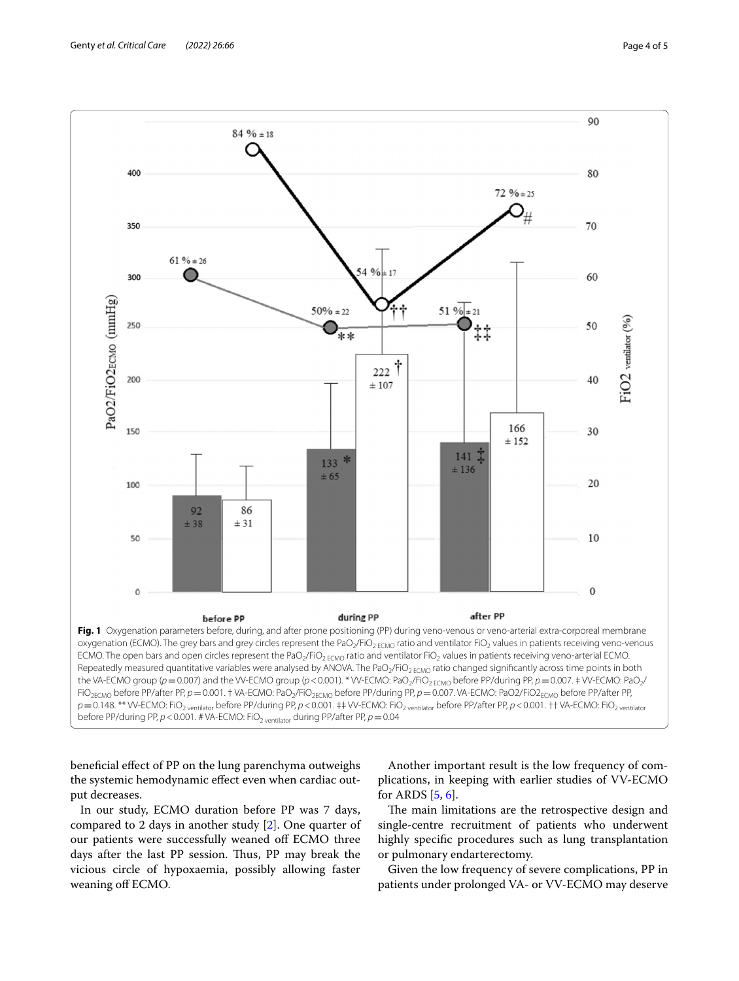

<span id="page-3-0"></span>benefcial efect of PP on the lung parenchyma outweighs the systemic hemodynamic efect even when cardiac output decreases.

In our study, ECMO duration before PP was 7 days, compared to 2 days in another study [\[2](#page-4-1)]. One quarter of our patients were successfully weaned off ECMO three days after the last PP session. Thus, PP may break the vicious circle of hypoxaemia, possibly allowing faster weaning off ECMO.

Another important result is the low frequency of complications, in keeping with earlier studies of VV-ECMO for ARDS [[5,](#page-4-4) [6](#page-4-5)].

The main limitations are the retrospective design and single-centre recruitment of patients who underwent highly specifc procedures such as lung transplantation or pulmonary endarterectomy.

Given the low frequency of severe complications, PP in patients under prolonged VA- or VV-ECMO may deserve